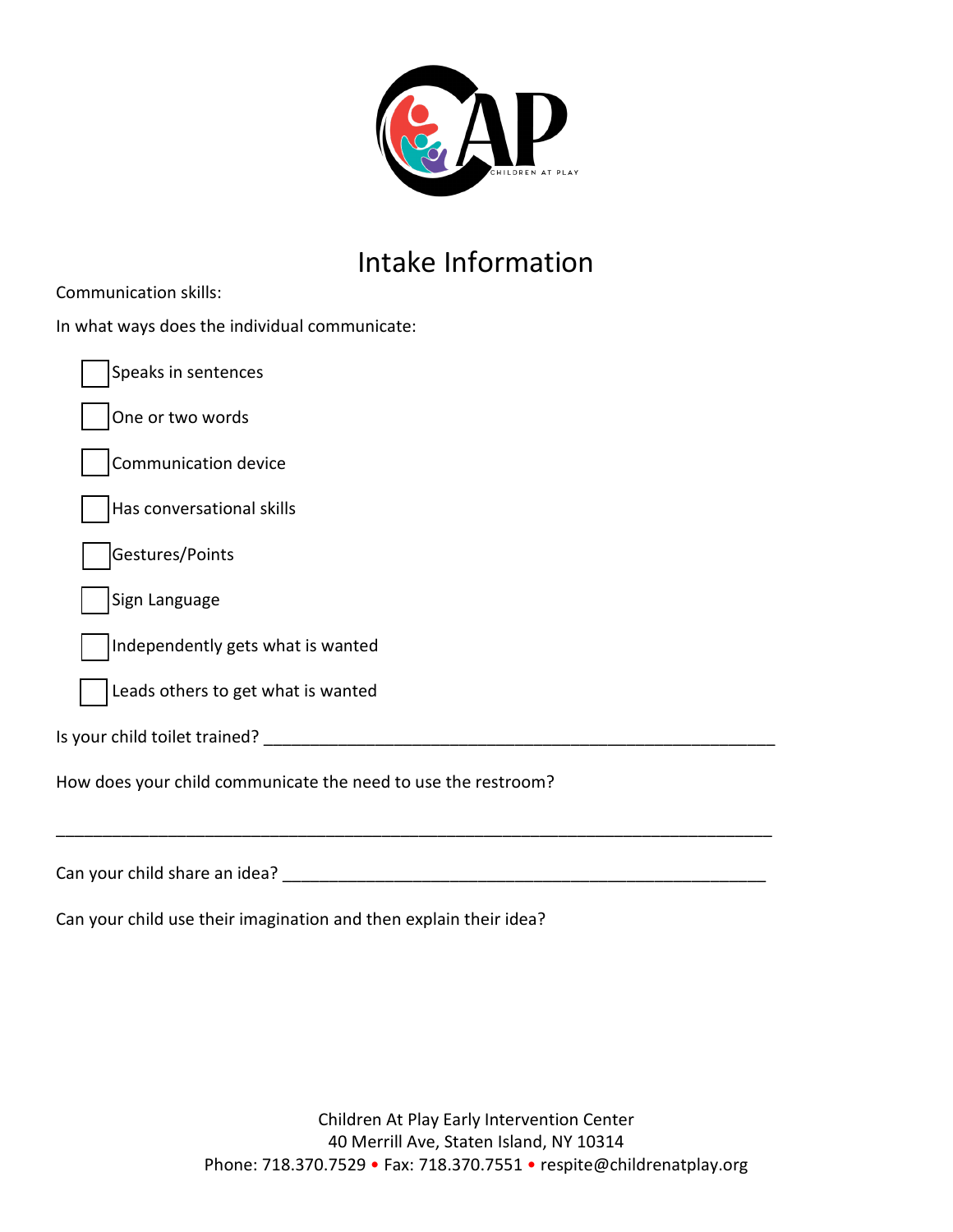

## Intake Information

| In what ways does the individual communicate:                 |
|---------------------------------------------------------------|
| Speaks in sentences                                           |
| One or two words                                              |
| Communication device                                          |
| Has conversational skills                                     |
| Gestures/Points                                               |
| Sign Language                                                 |
| Independently gets what is wanted                             |
| Leads others to get what is wanted                            |
|                                                               |
| How does your child communicate the need to use the restroom? |
| Can your child share an idea?                                 |

Can your child use their imagination and then explain their idea?

Communication skills: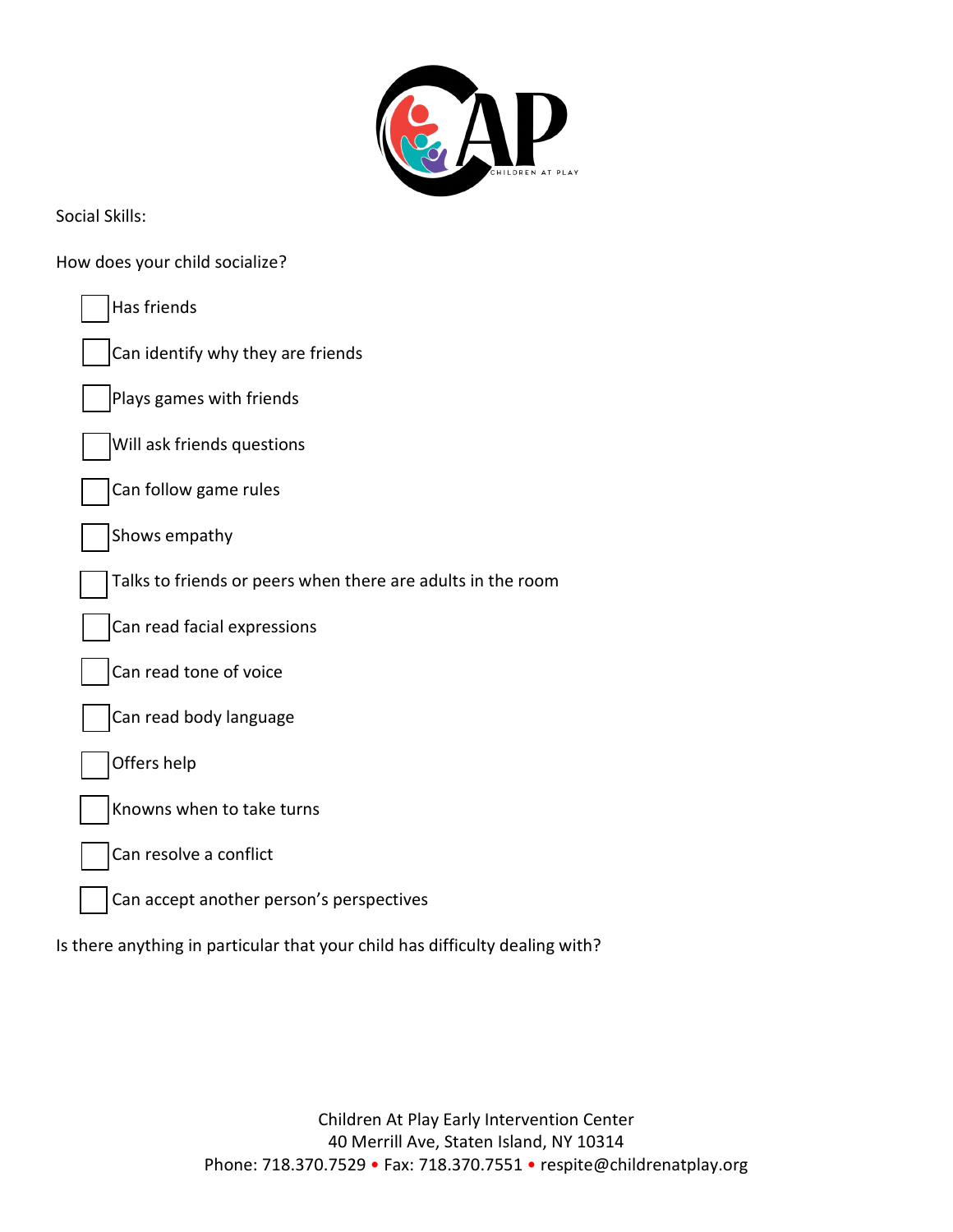

Social Skills:

How does your child socialize?

| Has friends                                                                  |
|------------------------------------------------------------------------------|
| Can identify why they are friends                                            |
| Plays games with friends                                                     |
| Will ask friends questions                                                   |
| Can follow game rules                                                        |
| Shows empathy                                                                |
| Talks to friends or peers when there are adults in the room                  |
| Can read facial expressions                                                  |
| Can read tone of voice                                                       |
| Can read body language                                                       |
| Offers help                                                                  |
| Knowns when to take turns                                                    |
| Can resolve a conflict                                                       |
| Can accept another person's perspectives                                     |
| Is there anything in particular that your child has difficulty dealing with? |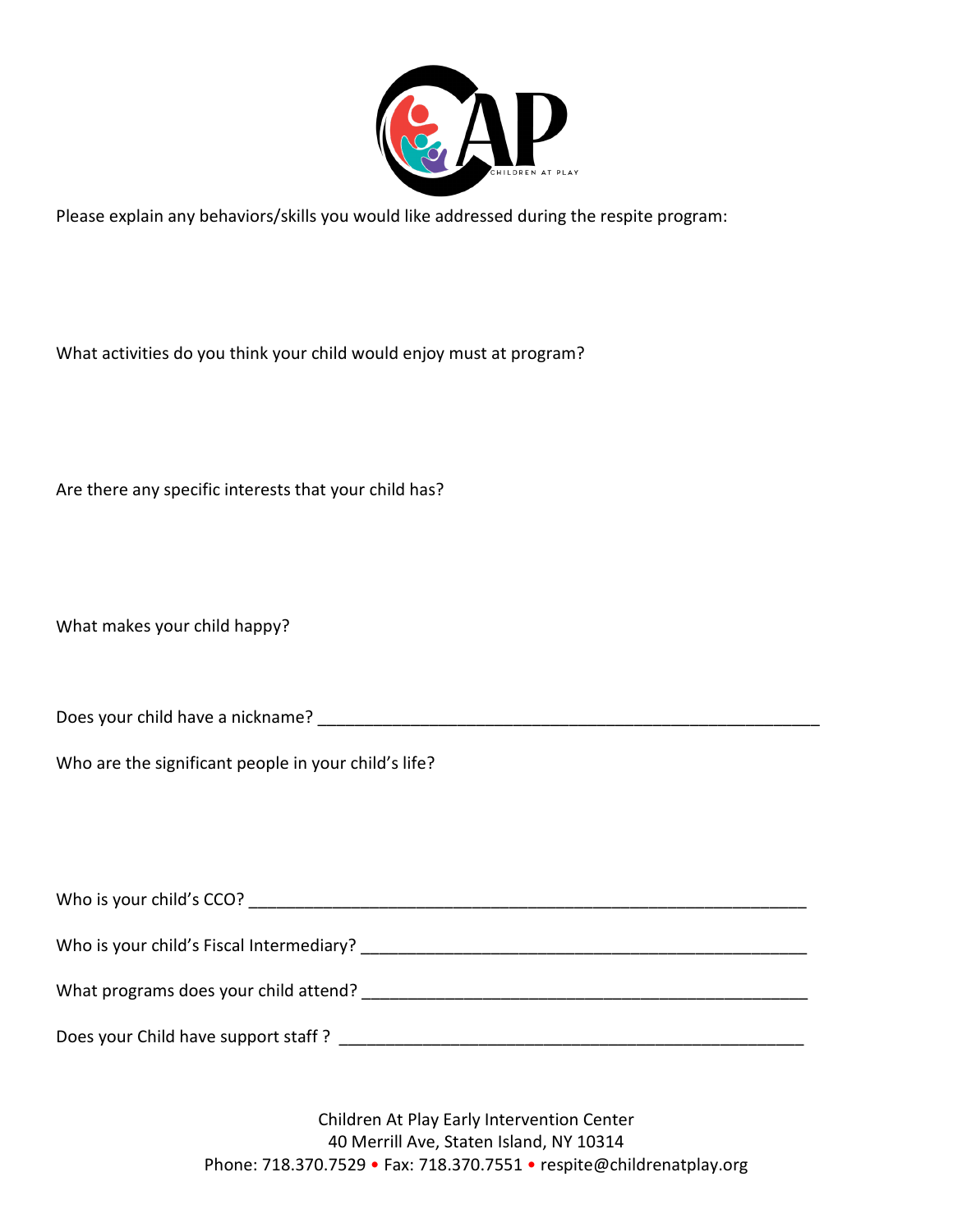

Please explain any behaviors/skills you would like addressed during the respite program:

What activities do you think your child would enjoy must at program?

Are there any specific interests that your child has?

What makes your child happy?

Does your child have a nickname? \_\_\_\_\_\_\_\_\_\_\_\_\_\_\_\_\_\_\_\_\_\_\_\_\_\_\_\_\_\_\_\_\_\_\_\_\_\_\_\_\_\_\_\_\_\_\_\_\_\_\_\_\_\_

Who are the significant people in your child's life?

| Who is your child's CCO?                 |  |
|------------------------------------------|--|
| Who is your child's Fiscal Intermediary? |  |
| What programs does your child attend?    |  |
| Does your Child have support staff?      |  |

Children At Play Early Intervention Center 40 Merrill Ave, Staten Island, NY 10314 Phone: 718.370.7529 • Fax: 718.370.7551 • respite@childrenatplay.org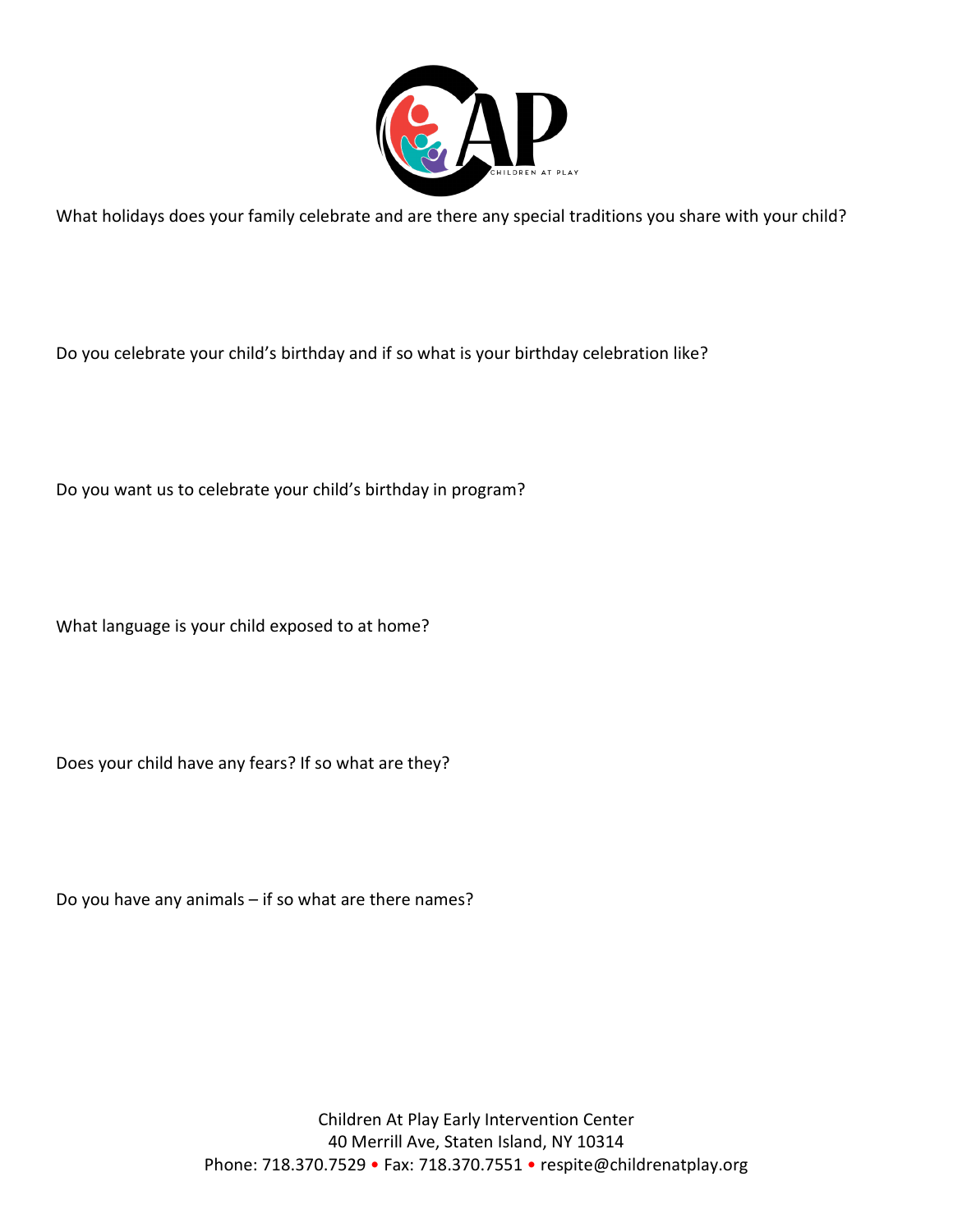

What holidays does your family celebrate and are there any special traditions you share with your child?

Do you celebrate your child's birthday and if so what is your birthday celebration like?

Do you want us to celebrate your child's birthday in program?

What language is your child exposed to at home?

Does your child have any fears? If so what are they?

Do you have any animals – if so what are there names?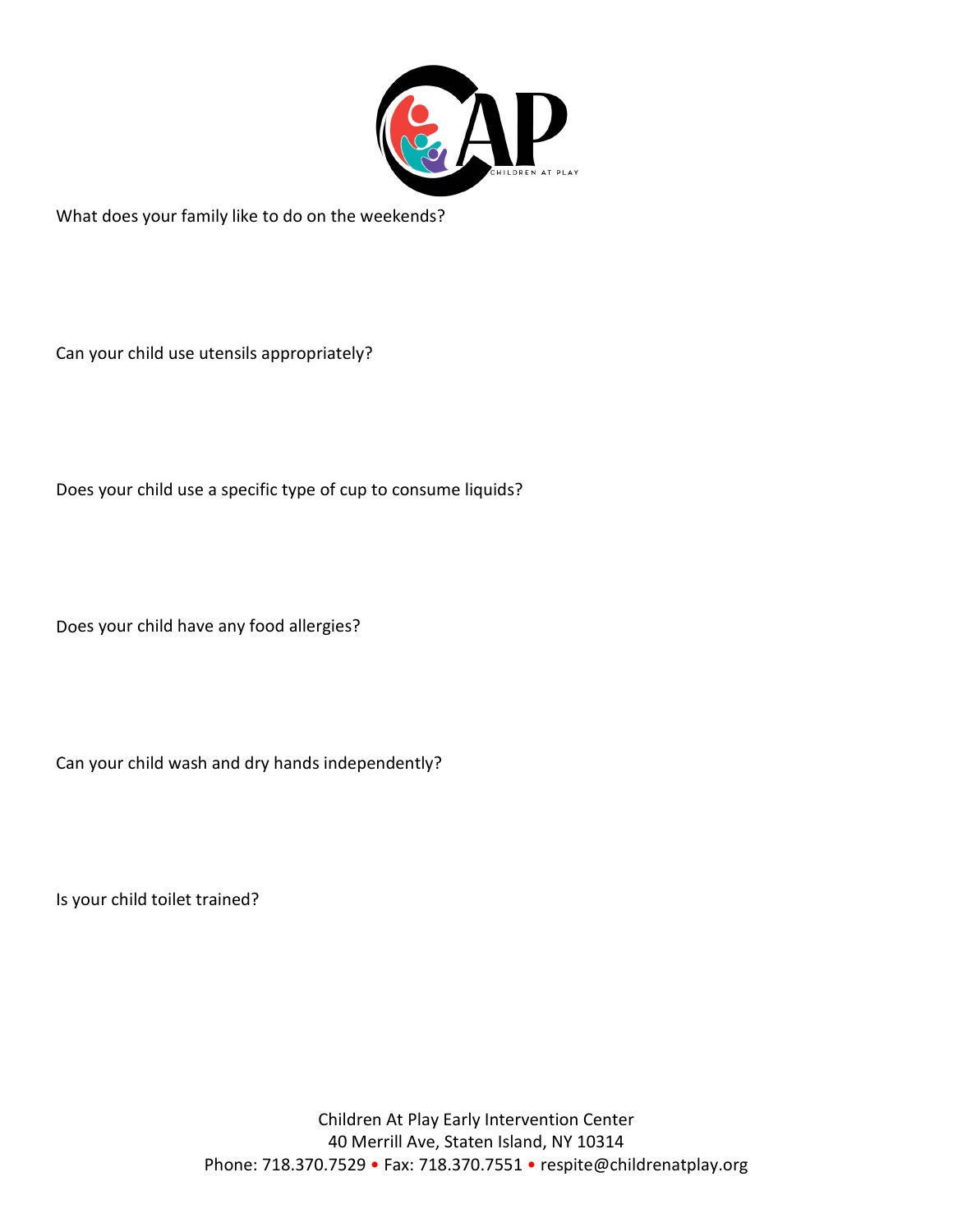

What does your family like to do on the weekends?

Can your child use utensils appropriately?

Does your child use a specific type of cup to consume liquids?

Does your child have any food allergies?

Can your child wash and dry hands independently?

Is your child toilet trained?